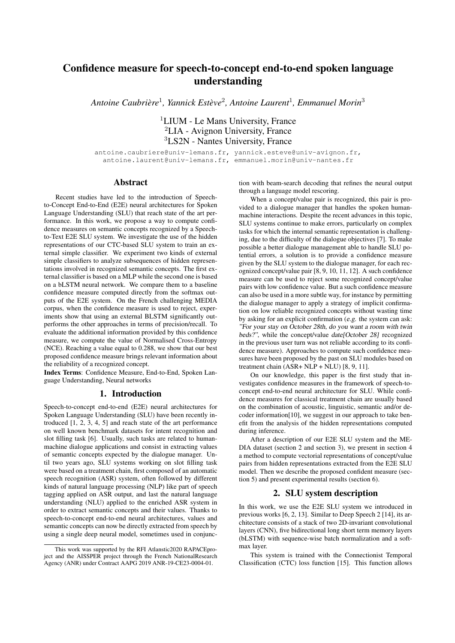# Confidence measure for speech-to-concept end-to-end spoken language understanding

*Antoine Caubriere `* 1 *, Yannick Esteve `* 2 *, Antoine Laurent*<sup>1</sup> *, Emmanuel Morin*<sup>3</sup>

<sup>1</sup>LIUM - Le Mans University, France <sup>2</sup>LIA - Avignon University, France <sup>3</sup>LS2N - Nantes University, France

antoine.caubriere@univ-lemans.fr, yannick.esteve@univ-avignon.fr, antoine.laurent@univ-lemans.fr, emmanuel.morin@univ-nantes.fr

#### **Abstract**

Recent studies have led to the introduction of Speechto-Concept End-to-End (E2E) neural architectures for Spoken Language Understanding (SLU) that reach state of the art performance. In this work, we propose a way to compute confidence measures on semantic concepts recognized by a Speechto-Text E2E SLU system. We investigate the use of the hidden representations of our CTC-based SLU system to train an external simple classifier. We experiment two kinds of external simple classifiers to analyze subsequences of hidden representations involved in recognized semantic concepts. The first external classifier is based on a MLP while the second one is based on a bLSTM neural network. We compare them to a baseline confidence measure computed directly from the softmax outputs of the E2E system. On the French challenging MEDIA corpus, when the confidence measure is used to reject, experiments show that using an external BLSTM significantly outperforms the other approaches in terms of precision/recall. To evaluate the additional information provided by this confidence measure, we compute the value of Normalised Cross-Entropy (NCE). Reaching a value equal to 0.288, we show that our best proposed confidence measure brings relevant information about the reliability of a recognized concept.

Index Terms: Confidence Measure, End-to-End, Spoken Language Understanding, Neural networks

### 1. Introduction

Speech-to-concept end-to-end (E2E) neural architectures for Spoken Language Understanding (SLU) have been recently introduced [1, 2, 3, 4, 5] and reach state of the art performance on well known benchmark datasets for intent recognition and slot filling task [6]. Usually, such tasks are related to humanmachine dialogue applications and consist in extracting values of semantic concepts expected by the dialogue manager. Until two years ago, SLU systems working on slot filling task were based on a treatment chain, first composed of an automatic speech recognition (ASR) system, often followed by different kinds of natural language processing (NLP) like part of speech tagging applied on ASR output, and last the natural language understanding (NLU) applied to the enriched ASR system in order to extract semantic concepts and their values. Thanks to speech-to-concept end-to-end neural architectures, values and semantic concepts can now be directly extracted from speech by using a single deep neural model, sometimes used in conjunction with beam-search decoding that refines the neural output through a language model rescoring.

When a concept/value pair is recognized, this pair is provided to a dialogue manager that handles the spoken humanmachine interactions. Despite the recent advances in this topic, SLU systems continue to make errors, particularly on complex tasks for which the internal semantic representation is challenging, due to the difficulty of the dialogue objectives [7]. To make possible a better dialogue management able to handle SLU potential errors, a solution is to provide a confidence measure given by the SLU system to the dialogue manager, for each recognized concept/value pair [8, 9, 10, 11, 12]. A such confidence measure can be used to reject some recognized concept/value pairs with low confidence value. But a such confidence measure can also be used in a more subtle way, for instance by permitting the dialogue manager to apply a strategy of implicit confirmation on low reliable recognized concepts without wasting time by asking for an explicit confirmation (e.g. the system can ask: "For your stay on October 28th, do you want a room with twin beds?", while the concept/value date[October 28] recognized in the previous user turn was not reliable according to its confidence measure). Approaches to compute such confidence measures have been proposed by the past on SLU modules based on treatment chain  $\overline{(ASR + NLP + NLU)}$  [8, 9, 11].

On our knowledge, this paper is the first study that investigates confidence measures in the framework of speech-toconcept end-to-end neural architecture for SLU. While confidence measures for classical treatment chain are usually based on the combination of acoustic, linguistic, semantic and/or decoder information[10], we suggest in our approach to take benefit from the analysis of the hidden representations computed during inference.

After a description of our E2E SLU system and the ME-DIA dataset (section 2 and section 3), we present in section 4 a method to compute vectorial representations of concept/value pairs from hidden representations extracted from the E2E SLU model. Then we describe the proposed confident measure (section 5) and present experimental results (section 6).

#### 2. SLU system description

In this work, we use the E2E SLU system we introduced in previous works [6, 2, 13]. Similar to Deep Speech 2 [14], its architecture consists of a stack of two 2D-invariant convolutional layers (CNN), five bidirectional long short term memory layers (bLSTM) with sequence-wise batch normalization and a softmax layer.

This system is trained with the Connectionist Temporal Classification (CTC) loss function [15]. This function allows

This work was supported by the RFI Atlanstic2020 RAPACEproject and the AISSPER project through the French NationalResearch Agency (ANR) under Contract AAPG 2019 ANR-19-CE23-0004-01.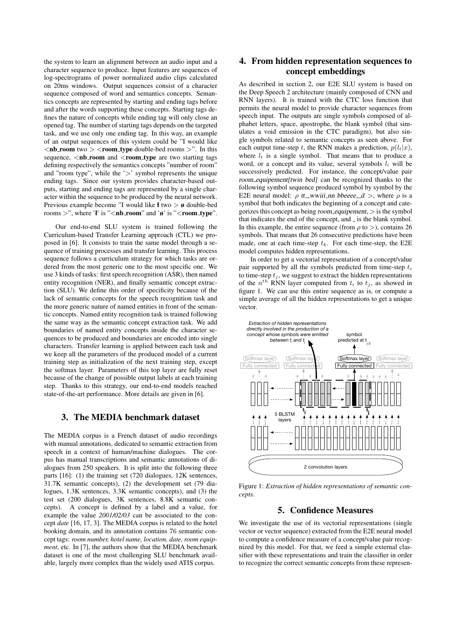the system to learn an alignment between an audio input and a character sequence to produce. Input features are sequences of log-spectrograms of power normalized audio clips calculated on 20ms windows. Output sequences consist of a character sequence composed of word and semantics concepts. Semantics concepts are represented by starting and ending tags before and after the words supporting these concepts. Starting tags defines the nature of concepts while ending tag will only close an opened tag. The number of starting tags depends on the targeted task, and we use only one ending tag. In this way, an example of an output sequences of this system could be "I would like  $\langle$ nb\_room two  $>$  <room\_type double-bed rooms  $>$ ". In this sequence, <nb\_room and <room\_type are two starting tags defining respectively the semantics concepts "number of room" and "room type", while the  $\geq$ " symbol represents the unique ending tags. Since our system provides character-based outputs, starting and ending tags are represented by a single character within the sequence to be produced by the neural network. Previous example become "I would like ł two > ø double-bed rooms >", where '*ł*' is "<nb\_room" and ' $\theta$ ' is "<room\_type".

Our end-to-end SLU system is trained following the Curriculum-based Transfer Learning approach (CTL) we proposed in [6]. It consists to train the same model through a sequence of training processes and transfer learning. This process sequence follows a curriculum strategy for which tasks are ordered from the most generic one to the most specific one. We use 3 kinds of tasks: first speech recognition (ASR), then named entity recognition (NER), and finally semantic concept extraction (SLU). We define this order of specificity because of the lack of semantic concepts for the speech recognition task and the more generic nature of named entities in front of the semantic concepts. Named entity recognition task is trained following the same way as the semantic concept extraction task. We add boundaries of named entity concepts inside the character sequences to be produced and boundaries are encoded into single characters. Transfer learning is applied between each task and we keep all the parameters of the produced model of a current training step as initialization of the next training step, except the softmax layer. Parameters of this top layer are fully reset because of the change of possible output labels at each training step. Thanks to this strategy, our end-to-end models reached state-of-the-art performance. More details are given in [6].

# 3. The MEDIA benchmark dataset

The MEDIA corpus is a French dataset of audio recordings with manual annotations, dedicated to semantic extraction from speech in a context of human/machine dialogues. The corpus has manual transcriptions and semantic annotations of dialogues from 250 speakers. It is split into the following three parts [16]: (1) the training set (720 dialogues, 12K sentences, 31.7K semantic concepts), (2) the development set (79 dialogues, 1.3K sentences, 3.3K semantic concepts), and (3) the test set (200 dialogues, 3K sentences, 8.8K semantic concepts). A concept is defined by a label and a value, for example the value *2001/02/03* can be associated to the concept *date* [16, 17, 3]. The MEDIA corpus is related to the hotel booking domain, and its annotation contains 76 semantic concept tags: *room number, hotel name, location, date, room equipment*, etc. In [7], the authors show that the MEDIA benchmark dataset is one of the most challenging SLU benchmark available, largely more complex than the widely used ATIS corpus.

# 4. From hidden representation sequences to concept embeddings

As described in section 2, our E2E SLU system is based on the Deep Speech 2 architecture (mainly composed of CNN and RNN layers). It is trained with the CTC loss function that permits the neural model to provide character sequences from speech input. The outputs are single symbols composed of alphabet letters, space, apostrophe, the blank symbol (that simulates a void emission in the CTC paradigm), but also single symbols related to semantic concepts as seen above. For each output time-step t, the RNN makes a prediction,  $p(l_t|x)$ , where  $l_t$  is a single symbol. That means that to produce a word, or a concept and its value, several symbols  $l_i$  will be successively predicted. For instance, the concept/value pair room equipement[twin bed] can be recognized thanks to the following symbol sequence produced symbol by symbol by the E2E neural model:  $\rho$  tt wwiii nn bbeeee  $-d$  >, where  $\rho$  is a symbol that both indicates the beginning of a concept and categorizes this concept as being room equipement,  $>$  is the symbol that indicates the end of the concept, and \_ is the blank symbol. In this example, the entire sequence (from  $\rho$  to  $>$ ), contains 26 symbols. That means that 26 consecutive predictions have been made, one at each time-step  $t_k$ . For each time-step, the E2E model computes hidden representations.

In order to get a vectorial representation of a concept/value pair supported by all the symbols predicted from time-step  $t_i$ to time-step  $t_j$ , we suggest to extract the hidden representations of the  $n^{th}$  RNN layer computed from  $t_i$  to  $t_j$ , as showed in figure 1. We can use this entire sequence as is, or compute a simple average of all the hidden representations to get a unique vector.



Figure 1: *Extraction of hidden representations of semantic concepts.*

### 5. Confidence Measures

We investigate the use of its vectorial representations (single vector or vector sequence) extracted from the E2E neural model to compute a confidence measure of a concept/value pair recognized by this model. For that, we feed a simple external classifier with these representations and train the classifier in order to recognize the correct semantic concepts from these represen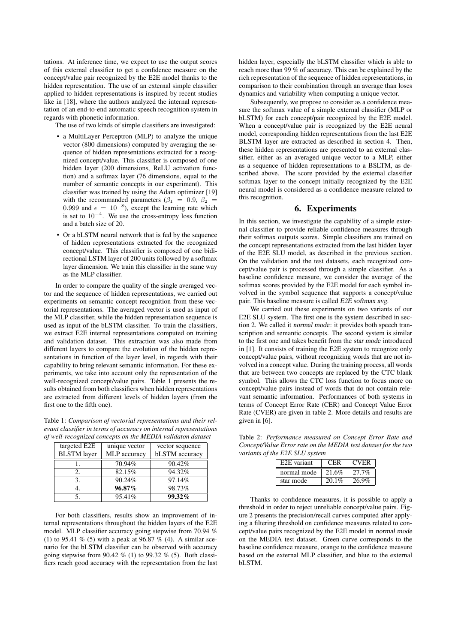tations. At inference time, we expect to use the output scores of this external classifier to get a confidence measure on the concept/value pair recognized by the E2E model thanks to the hidden representation. The use of an external simple classifier applied to hidden representations is inspired by recent studies like in [18], where the authors analyzed the internal representation of an end-to-end automatic speech recognition system in regards with phonetic information.

The use of two kinds of simple classifiers are investigated:

- a MultiLayer Perceptron (MLP) to analyze the unique vector (800 dimensions) computed by averaging the sequence of hidden representations extracted for a recognized concept/value. This classifier is composed of one hidden layer (200 dimensions, ReLU activation function) and a softmax layer (76 dimensions, equal to the number of semantic concepts in our experiment). This classifier was trained by using the Adam optimizer [19] with the recommanded parameters ( $\beta_1 = 0.9$ ,  $\beta_2 =$ 0.999 and  $\epsilon = 10^{-8}$ ), except the learning rate which is set to  $10^{-4}$ . We use the cross-entropy loss function and a batch size of 20.
- Or a bLSTM neural network that is fed by the sequence of hidden representations extracted for the recognized concept/value. This classifier is composed of one bidirectional LSTM layer of 200 units followed by a softmax layer dimension. We train this classifier in the same way as the MLP classifier.

In order to compare the quality of the single averaged vector and the sequence of hidden representations, we carried out experiments on semantic concept recognition from these vectorial representations. The averaged vector is used as input of the MLP classifier, while the hidden representation sequence is used as input of the bLSTM classifier. To train the classifiers, we extract E2E internal representations computed on training and validation dataset. This extraction was also made from different layers to compare the evolution of the hidden representations in function of the layer level, in regards with their capability to bring relevant semantic information. For these experiments, we take into account only the representation of the well-recognized concept/value pairs. Table 1 presents the results obtained from both classifiers when hidden representations are extracted from different levels of hidden layers (from the first one to the fifth one).

Table 1: *Comparison of vectorial representations and their relevant classifier in terms of accuracy on internal representations of well-recognized concepts on the MEDIA validaton dataset*

| targeted E2E       | unique vector       | vector sequence |
|--------------------|---------------------|-----------------|
| <b>BLSTM</b> layer | <b>MLP</b> accuracy | bLSTM accuracy  |
|                    | 70.94%              | 90.42%          |
|                    | 82.15%              | 94.32%          |
|                    | 90.24%              | 97.14%          |
|                    | 96.87%              | 98.73%          |
|                    | 95.41%              | 99.32%          |

For both classifiers, results show an improvement of internal representations throughout the hidden layers of the E2E model. MLP classifier accuracy going stepwise from 70.94 % (1) to 95.41 % (5) with a peak at 96.87 % (4). A similar scenario for the bLSTM classifier can be observed with accuracy going stepwise from 90.42  $\%$  (1) to 99.32  $\%$  (5). Both classifiers reach good accuracy with the representation from the last hidden layer, especially the bLSTM classifier which is able to reach more than 99 % of accuracy. This can be explained by the rich representation of the sequence of hidden representations, in comparison to their combination through an average than loses dynamics and variability when computing a unique vector.

Subsequently, we propose to consider as a confidence measure the softmax value of a simple external classifier (MLP or bLSTM) for each concept/pair recognized by the E2E model. When a concept/value pair is recognized by the E2E neural model, corresponding hidden representations from the last E2E BLSTM layer are extracted as described in section 4. Then, these hidden representations are presented to an external classifier, either as an averaged unique vector to a MLP, either as a sequence of hidden representations to a BSLTM, as described above. The score provided by the external classifier softmax layer to the concept initially recognized by the E2E neural model is considered as a confidence measure related to this recognition.

### 6. Experiments

In this section, we investigate the capability of a simple external classifier to provide reliable confidence measures through their softmax outputs scores. Simple classifiers are trained on the concept representations extracted from the last hidden layer of the E2E SLU model, as described in the previous section. On the validation and the test datasets, each recognized concept/value pair is processed through a simple classifier. As a baseline confidence measure, we consider the average of the softmax scores provided by the E2E model for each symbol involved in the symbol sequence that supports a concept/value pair. This baseline measure is called E2E softmax avg.

We carried out these experiments on two variants of our E2E SLU system. The first one is the system described in section 2. We called it normal mode: it provides both speech transcription and semantic concepts. The second system is similar to the first one and takes benefit from the star mode introduced in [1]. It consists of training the E2E system to recognize only concept/value pairs, without recognizing words that are not involved in a concept value. During the training process, all words that are between two concepts are replaced by the CTC blank symbol. This allows the CTC loss function to focus more on concept/value pairs instead of words that do not contain relevant semantic information. Performances of both systems in terms of Concept Error Rate (CER) and Concept Value Error Rate (CVER) are given in table 2. More details and results are given in [6].

Table 2: *Performance measured on Concept Error Rate and Concept/Value Error rate on the MEDIA test dataset for the two variants of the E2E SLU system*

| E <sub>2</sub> E variant | CEP      | <b>CVER</b> |
|--------------------------|----------|-------------|
| normal mode              | 21.6%    | $27.7\%$    |
| star mode                | $20.1\%$ | 26.9%       |

Thanks to confidence measures, it is possible to apply a threshold in order to reject unreliable concept/value pairs. Figure 2 presents the precision/recall curves computed after applying a filtering threshold on confidence measures related to concept/value pairs recognized by the E2E model in normal mode on the MEDIA test dataset. Green curve corresponds to the baseline confidence measure, orange to the confidence measure based on the external MLP classifier, and blue to the external bLSTM.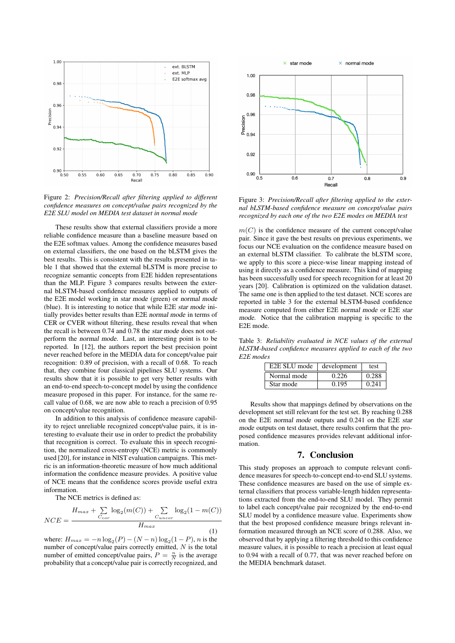

Figure 2: *Precision/Recall after filtering applied to different confidence measures on concept/value pairs recognized by the E2E SLU model on MEDIA test dataset in normal mode*

These results show that external classifiers provide a more reliable confidence measure than a baseline measure based on the E2E softmax values. Among the confidence measures based on external classifiers, the one based on the bLSTM gives the best results. This is consistent with the results presented in table 1 that showed that the external bLSTM is more precise to recognize semantic concepts from E2E hidden representations than the MLP. Figure 3 compares results between the external bLSTM-based confidence measures applied to outputs of the E2E model working in star mode (green) or normal mode (blue). It is interesting to notice that while E2E star mode initially provides better results than E2E normal mode in terms of CER or CVER without filtering, these results reveal that when the recall is between 0.74 and 0.78 the star mode does not outperform the normal mode. Last, an interesting point is to be reported. In [12], the authors report the best precision point never reached before in the MEDIA data for concept/value pair recognition: 0.89 of precision, with a recall of 0.68. To reach that, they combine four classical pipelines SLU systems. Our results show that it is possible to get very better results with an end-to-end speech-to-concept model by using the confidence measure proposed in this paper. For instance, for the same recall value of 0.68, we are now able to reach a precision of 0.95 on concept/value recognition.

In addition to this analysis of confidence measure capability to reject unreliable recognized concept/value pairs, it is interesting to evaluate their use in order to predict the probability that recognition is correct. To evaluate this in speech recognition, the normalized cross-entropy (NCE) metric is commonly used [20], for instance in NIST evaluation campaigns. This metric is an information-theoretic measure of how much additional information the confidence measure provides. A positive value of NCE means that the confidence scores provide useful extra information.

The NCE metrics is defined as:

$$
NCE = \frac{H_{max} + \sum_{C_{cor}} \log_2(m(C)) + \sum_{C_{uncor}} \log_2(1 - m(C))}{H_{max}}
$$
(1)

where:  $H_{max} = -n \log_2(P) - (N - n) \log_2(1 - P)$ , *n* is the number of concept/value pairs correctly emitted,  $N$  is the total number of emitted concept/value pairs,  $P = \frac{n}{N}$  is the average probability that a concept/value pair is correctly recognized, and



Figure 3: *Precision/Recall after filtering applied to the external bLSTM-based confidence measure on concept/value pairs recognized by each one of the two E2E modes on MEDIA test*

 $m(C)$  is the confidence measure of the current concept/value pair. Since it gave the best results on previous experiments, we focus our NCE evaluation on the confidence measure based on an external bLSTM classifier. To calibrate the bLSTM score, we apply to this score a piece-wise linear mapping instead of using it directly as a confidence measure. This kind of mapping has been successfully used for speech recognition for at least 20 years [20]. Calibration is optimized on the validation dataset. The same one is then applied to the test dataset. NCE scores are reported in table 3 for the external bLSTM-based confidence measure computed from either E2E normal mode or E2E star mode. Notice that the calibration mapping is specific to the E2E mode.

Table 3: *Reliability evaluated in NCE values of the external bLSTM-based confidence measures applied to each of the two E2E modes*

| E2E SLU mode | development | test  |
|--------------|-------------|-------|
| Normal mode  | 0.226       | 0.288 |
| Star mode    | 0.195       | 0.241 |

Results show that mappings defined by observations on the development set still relevant for the test set. By reaching 0.288 on the E2E normal mode outputs and 0.241 on the E2E star mode outputs on test dataset, there results confirm that the proposed confidence measures provides relevant additional information.

### 7. Conclusion

This study proposes an approach to compute relevant confidence measures for speech-to-concept end-to-end SLU systems. These confidence measures are based on the use of simple external classifiers that process variable-length hidden representations extracted from the end-to-end SLU model. They permit to label each concept/value pair recognized by the end-to-end SLU model by a confidence measure value. Experiments show that the best proposed confidence measure brings relevant information measured through an NCE score of 0.288. Also, we observed that by applying a filtering threshold to this confidence measure values, it is possible to reach a precision at least equal to 0.94 with a recall of 0.77, that was never reached before on the MEDIA benchmark dataset.